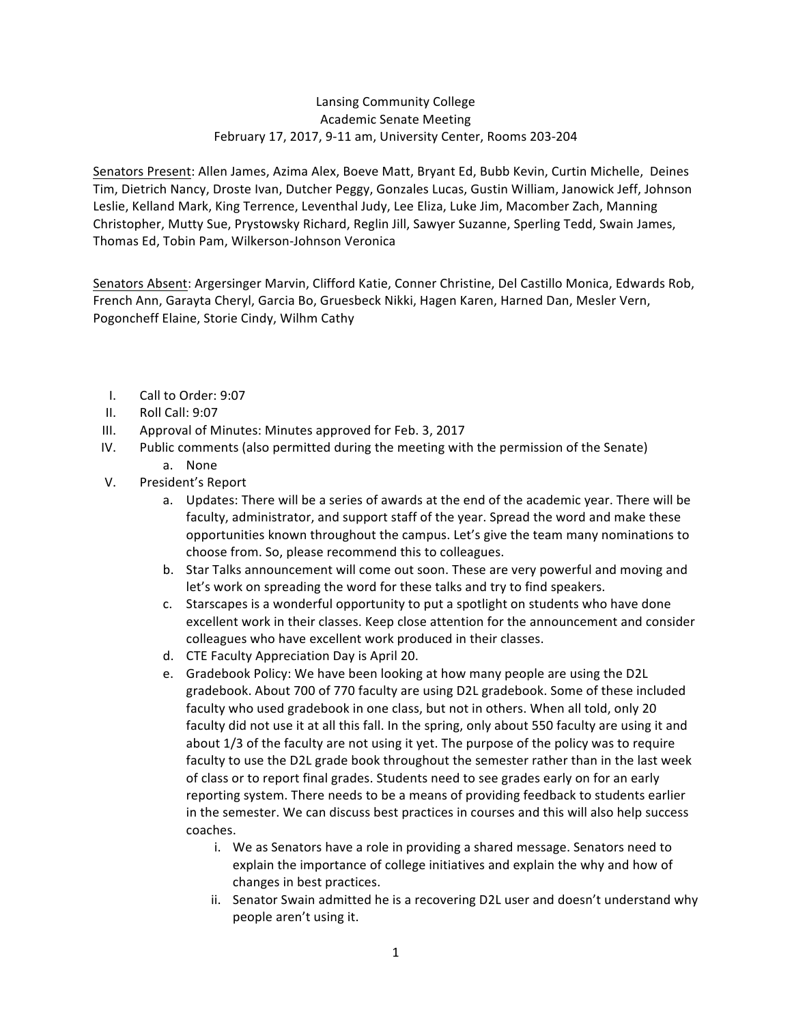## Lansing Community College Academic Senate Meeting February 17, 2017, 9-11 am, University Center, Rooms 203-204

Senators Present: Allen James, Azima Alex, Boeve Matt, Bryant Ed, Bubb Kevin, Curtin Michelle, Deines Tim, Dietrich Nancy, Droste Ivan, Dutcher Peggy, Gonzales Lucas, Gustin William, Janowick Jeff, Johnson Leslie, Kelland Mark, King Terrence, Leventhal Judy, Lee Eliza, Luke Jim, Macomber Zach, Manning Christopher, Mutty Sue, Prystowsky Richard, Reglin Jill, Sawyer Suzanne, Sperling Tedd, Swain James, Thomas Ed, Tobin Pam, Wilkerson-Johnson Veronica

Senators Absent: Argersinger Marvin, Clifford Katie, Conner Christine, Del Castillo Monica, Edwards Rob, French Ann, Garayta Cheryl, Garcia Bo, Gruesbeck Nikki, Hagen Karen, Harned Dan, Mesler Vern, Pogoncheff Elaine, Storie Cindy, Wilhm Cathy

- I. Call to Order: 9:07
- II. Roll Call: 9:07
- III. Approval of Minutes: Minutes approved for Feb. 3, 2017
- IV. Public comments (also permitted during the meeting with the permission of the Senate)
	- a. None
- V. President's Report
	- a. Updates: There will be a series of awards at the end of the academic year. There will be faculty, administrator, and support staff of the year. Spread the word and make these opportunities known throughout the campus. Let's give the team many nominations to choose from. So, please recommend this to colleagues.
	- b. Star Talks announcement will come out soon. These are very powerful and moving and let's work on spreading the word for these talks and try to find speakers.
	- c. Starscapes is a wonderful opportunity to put a spotlight on students who have done excellent work in their classes. Keep close attention for the announcement and consider colleagues who have excellent work produced in their classes.
	- d. CTE Faculty Appreciation Day is April 20.
	- e. Gradebook Policy: We have been looking at how many people are using the D2L gradebook. About 700 of 770 faculty are using D2L gradebook. Some of these included faculty who used gradebook in one class, but not in others. When all told, only 20 faculty did not use it at all this fall. In the spring, only about 550 faculty are using it and about 1/3 of the faculty are not using it yet. The purpose of the policy was to require faculty to use the D2L grade book throughout the semester rather than in the last week of class or to report final grades. Students need to see grades early on for an early reporting system. There needs to be a means of providing feedback to students earlier in the semester. We can discuss best practices in courses and this will also help success coaches.
		- i. We as Senators have a role in providing a shared message. Senators need to explain the importance of college initiatives and explain the why and how of changes in best practices.
		- ii. Senator Swain admitted he is a recovering D2L user and doesn't understand why people aren't using it.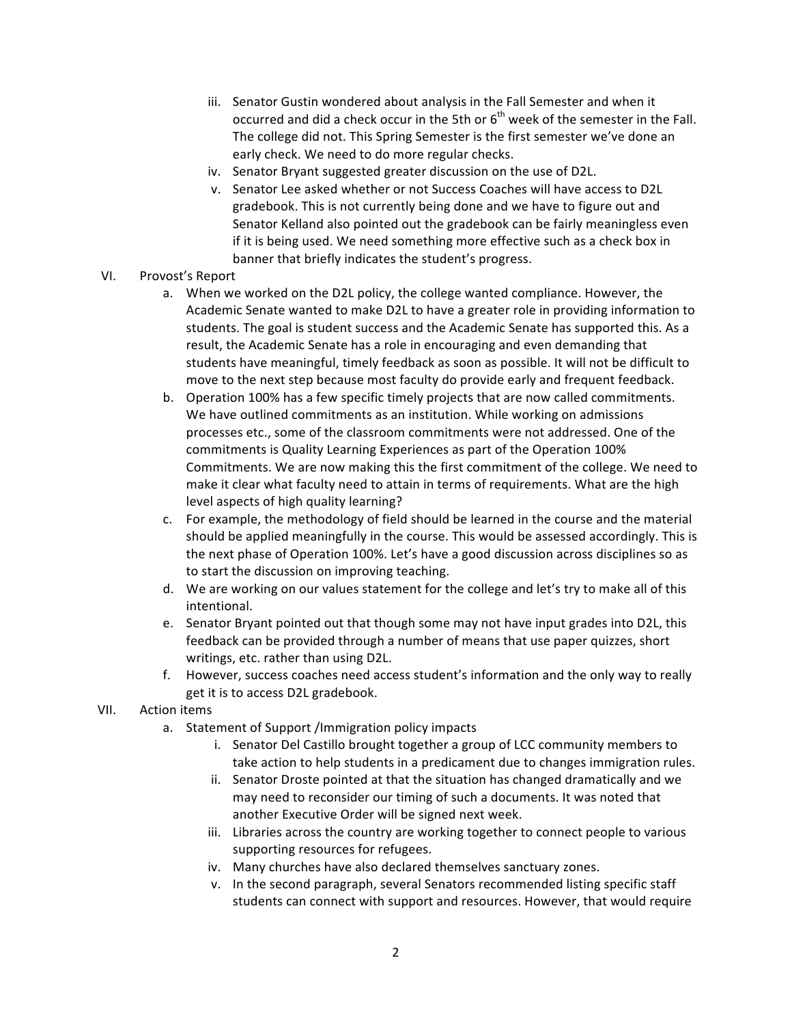- iii. Senator Gustin wondered about analysis in the Fall Semester and when it occurred and did a check occur in the 5th or  $6<sup>th</sup>$  week of the semester in the Fall. The college did not. This Spring Semester is the first semester we've done an early check. We need to do more regular checks.
- iv. Senator Bryant suggested greater discussion on the use of D2L.
- v. Senator Lee asked whether or not Success Coaches will have access to D2L gradebook. This is not currently being done and we have to figure out and Senator Kelland also pointed out the gradebook can be fairly meaningless even if it is being used. We need something more effective such as a check box in banner that briefly indicates the student's progress.
- VI. Provost's Report
	- a. When we worked on the D2L policy, the college wanted compliance. However, the Academic Senate wanted to make D2L to have a greater role in providing information to students. The goal is student success and the Academic Senate has supported this. As a result, the Academic Senate has a role in encouraging and even demanding that students have meaningful, timely feedback as soon as possible. It will not be difficult to move to the next step because most faculty do provide early and frequent feedback.
	- b. Operation 100% has a few specific timely projects that are now called commitments. We have outlined commitments as an institution. While working on admissions processes etc., some of the classroom commitments were not addressed. One of the commitments is Quality Learning Experiences as part of the Operation 100% Commitments. We are now making this the first commitment of the college. We need to make it clear what faculty need to attain in terms of requirements. What are the high level aspects of high quality learning?
	- c. For example, the methodology of field should be learned in the course and the material should be applied meaningfully in the course. This would be assessed accordingly. This is the next phase of Operation 100%. Let's have a good discussion across disciplines so as to start the discussion on improving teaching.
	- d. We are working on our values statement for the college and let's try to make all of this intentional.
	- e. Senator Bryant pointed out that though some may not have input grades into D2L, this feedback can be provided through a number of means that use paper quizzes, short writings, etc. rather than using D2L.
	- f. However, success coaches need access student's information and the only way to really get it is to access D2L gradebook.
- VII. Action items
	- a. Statement of Support /Immigration policy impacts
		- i. Senator Del Castillo brought together a group of LCC community members to take action to help students in a predicament due to changes immigration rules.
		- ii. Senator Droste pointed at that the situation has changed dramatically and we may need to reconsider our timing of such a documents. It was noted that another Executive Order will be signed next week.
		- iii. Libraries across the country are working together to connect people to various supporting resources for refugees.
		- iv. Many churches have also declared themselves sanctuary zones.
		- v. In the second paragraph, several Senators recommended listing specific staff students can connect with support and resources. However, that would require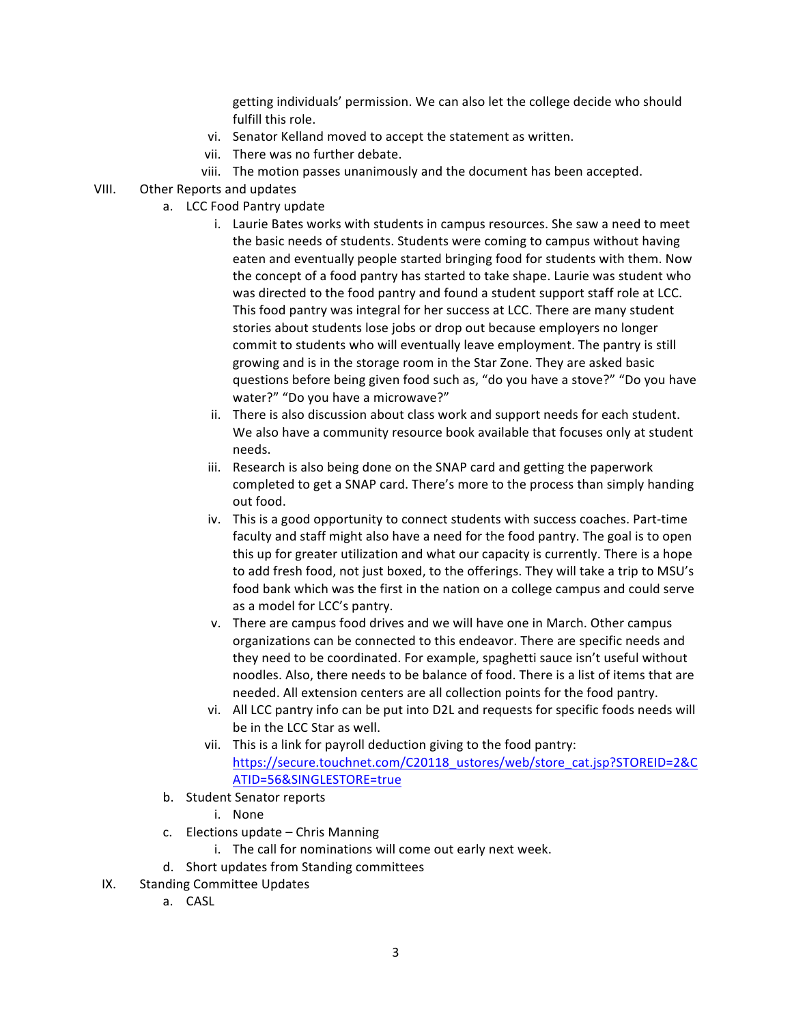getting individuals' permission. We can also let the college decide who should fulfill this role.

- vi. Senator Kelland moved to accept the statement as written.
- vii. There was no further debate.
- viii. The motion passes unanimously and the document has been accepted.
- VIII. Other Reports and updates
	- a. LCC Food Pantry update
		- i. Laurie Bates works with students in campus resources. She saw a need to meet the basic needs of students. Students were coming to campus without having eaten and eventually people started bringing food for students with them. Now the concept of a food pantry has started to take shape. Laurie was student who was directed to the food pantry and found a student support staff role at LCC. This food pantry was integral for her success at LCC. There are many student stories about students lose jobs or drop out because employers no longer commit to students who will eventually leave employment. The pantry is still growing and is in the storage room in the Star Zone. They are asked basic questions before being given food such as, "do you have a stove?" "Do you have water?" "Do you have a microwave?"
		- ii. There is also discussion about class work and support needs for each student. We also have a community resource book available that focuses only at student needs.
		- iii. Research is also being done on the SNAP card and getting the paperwork completed to get a SNAP card. There's more to the process than simply handing out food.
		- iv. This is a good opportunity to connect students with success coaches. Part-time faculty and staff might also have a need for the food pantry. The goal is to open this up for greater utilization and what our capacity is currently. There is a hope to add fresh food, not just boxed, to the offerings. They will take a trip to MSU's food bank which was the first in the nation on a college campus and could serve as a model for LCC's pantry.
		- v. There are campus food drives and we will have one in March. Other campus organizations can be connected to this endeavor. There are specific needs and they need to be coordinated. For example, spaghetti sauce isn't useful without noodles. Also, there needs to be balance of food. There is a list of items that are needed. All extension centers are all collection points for the food pantry.
		- vi. All LCC pantry info can be put into D2L and requests for specific foods needs will be in the LCC Star as well.
		- vii. This is a link for payroll deduction giving to the food pantry: https://secure.touchnet.com/C20118\_ustores/web/store\_cat.jsp?STOREID=2&C ATID=56&SINGLESTORE=true
		- b. Student Senator reports
			- i. None
		- c. Elections update Chris Manning
			- i. The call for nominations will come out early next week.
		- d. Short updates from Standing committees
- IX. Standing Committee Updates
	- a. CASL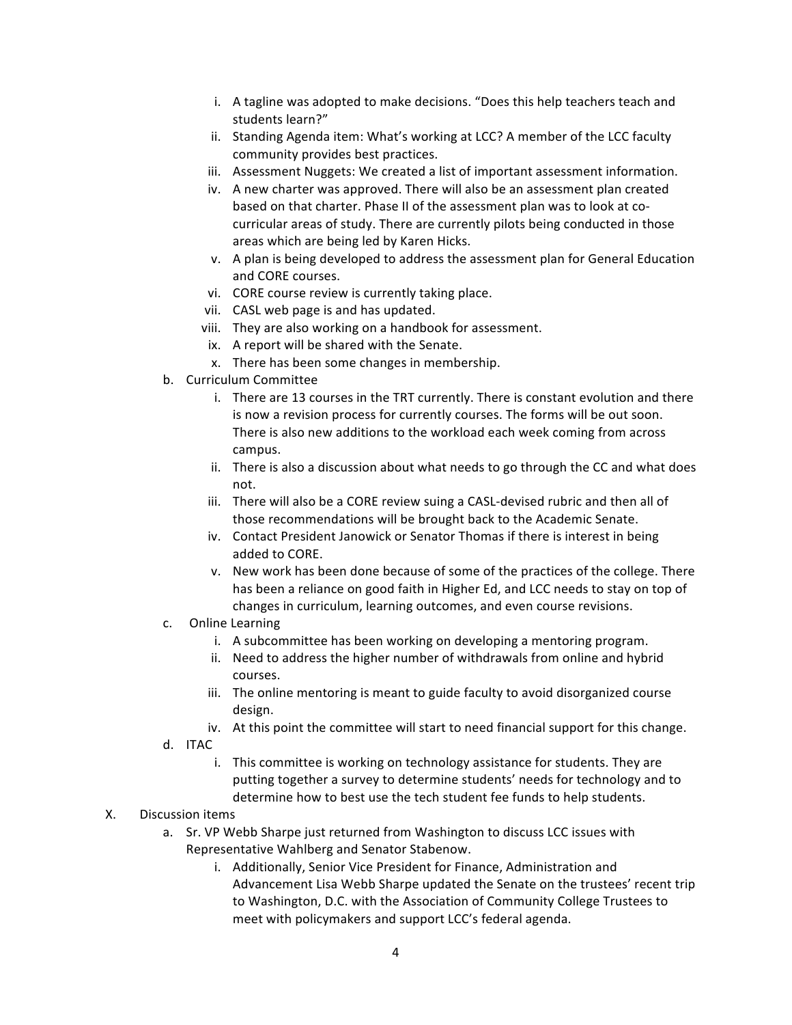- i. A tagline was adopted to make decisions. "Does this help teachers teach and students learn?"
- ii. Standing Agenda item: What's working at LCC? A member of the LCC faculty community provides best practices.
- iii. Assessment Nuggets: We created a list of important assessment information.
- iv. A new charter was approved. There will also be an assessment plan created based on that charter. Phase II of the assessment plan was to look at cocurricular areas of study. There are currently pilots being conducted in those areas which are being led by Karen Hicks.
- v. A plan is being developed to address the assessment plan for General Education and CORE courses.
- vi. CORE course review is currently taking place.
- vii. CASL web page is and has updated.
- viii. They are also working on a handbook for assessment.
- ix. A report will be shared with the Senate.
- x. There has been some changes in membership.
- b. Curriculum Committee
	- i. There are 13 courses in the TRT currently. There is constant evolution and there is now a revision process for currently courses. The forms will be out soon. There is also new additions to the workload each week coming from across campus.
	- ii. There is also a discussion about what needs to go through the CC and what does not.
	- iii. There will also be a CORE review suing a CASL-devised rubric and then all of those recommendations will be brought back to the Academic Senate.
	- iv. Contact President Janowick or Senator Thomas if there is interest in being added to CORE.
	- v. New work has been done because of some of the practices of the college. There has been a reliance on good faith in Higher Ed, and LCC needs to stay on top of changes in curriculum, learning outcomes, and even course revisions.
- c. Online Learning
	- i. A subcommittee has been working on developing a mentoring program.
	- ii. Need to address the higher number of withdrawals from online and hybrid courses.
	- iii. The online mentoring is meant to guide faculty to avoid disorganized course design.
	- iv. At this point the committee will start to need financial support for this change.
- d. ITAC
	- i. This committee is working on technology assistance for students. They are putting together a survey to determine students' needs for technology and to determine how to best use the tech student fee funds to help students.

## X. Discussion items

- a. Sr. VP Webb Sharpe just returned from Washington to discuss LCC issues with Representative Wahlberg and Senator Stabenow.
	- i. Additionally, Senior Vice President for Finance, Administration and Advancement Lisa Webb Sharpe updated the Senate on the trustees' recent trip to Washington, D.C. with the Association of Community College Trustees to meet with policymakers and support LCC's federal agenda.